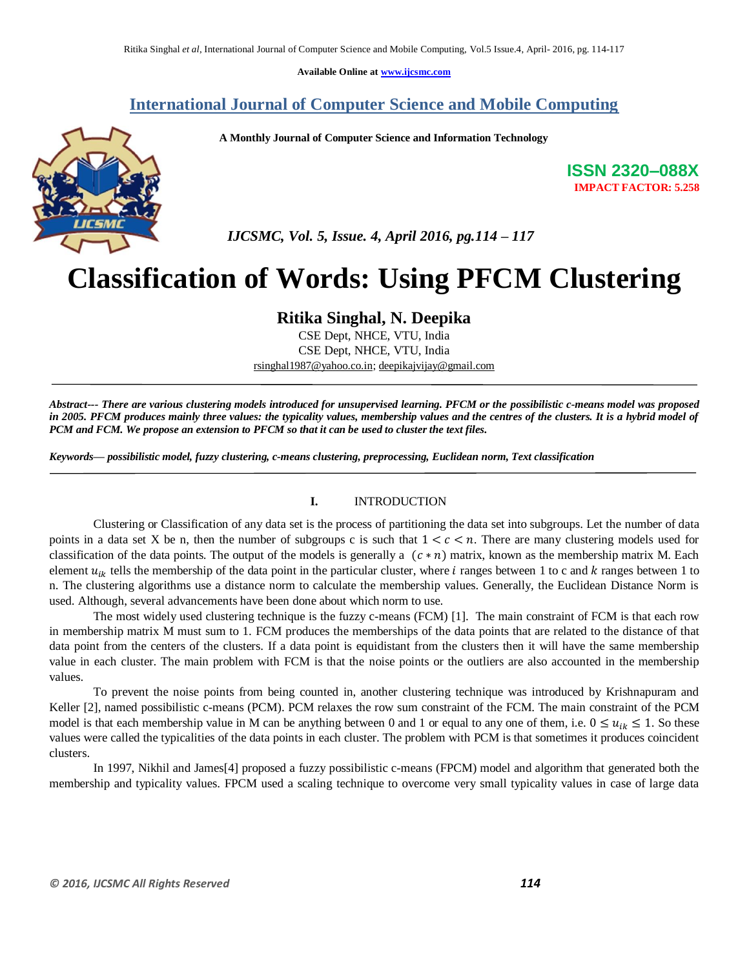**Available Online at www.ijcsmc.com**

## **International Journal of Computer Science and Mobile Computing**





**ISSN 2320–088X IMPACT FACTOR: 5.258**

 *IJCSMC, Vol. 5, Issue. 4, April 2016, pg.114 – 117*

# **Classification of Words: Using PFCM Clustering**

**Ritika Singhal, N. Deepika**

CSE Dept, NHCE, VTU, India CSE Dept, NHCE, VTU, India rsinghal1987@yahoo.co.in; deepikajvijay@gmail.com

*Abstract--- There are various clustering models introduced for unsupervised learning. PFCM or the possibilistic c-means model was proposed in 2005. PFCM produces mainly three values: the typicality values, membership values and the centres of the clusters. It is a hybrid model of PCM and FCM. We propose an extension to PFCM so that it can be used to cluster the text files.* 

*Keywords— possibilistic model, fuzzy clustering, c-means clustering, preprocessing, Euclidean norm, Text classification*

## **I.** INTRODUCTION

Clustering or Classification of any data set is the process of partitioning the data set into subgroups. Let the number of data points in a data set X be n, then the number of subgroups c is such that  $1 < c < n$ . There are many clustering models used for classification of the data points. The output of the models is generally a  $(c * n)$  matrix, known as the membership matrix M. Each element  $u_{ik}$  tells the membership of the data point in the particular cluster, where i ranges between 1 to c and k ranges between 1 to n. The clustering algorithms use a distance norm to calculate the membership values. Generally, the Euclidean Distance Norm is used. Although, several advancements have been done about which norm to use.

The most widely used clustering technique is the fuzzy c-means (FCM) [1]. The main constraint of FCM is that each row in membership matrix M must sum to 1. FCM produces the memberships of the data points that are related to the distance of that data point from the centers of the clusters. If a data point is equidistant from the clusters then it will have the same membership value in each cluster. The main problem with FCM is that the noise points or the outliers are also accounted in the membership values.

To prevent the noise points from being counted in, another clustering technique was introduced by Krishnapuram and Keller [2], named possibilistic c-means (PCM). PCM relaxes the row sum constraint of the FCM. The main constraint of the PCM model is that each membership value in M can be anything between 0 and 1 or equal to any one of them, i.e.  $0 \le u_{ik} \le 1$ . So these values were called the typicalities of the data points in each cluster. The problem with PCM is that sometimes it produces coincident clusters.

In 1997, Nikhil and James[4] proposed a fuzzy possibilistic c-means (FPCM) model and algorithm that generated both the membership and typicality values. FPCM used a scaling technique to overcome very small typicality values in case of large data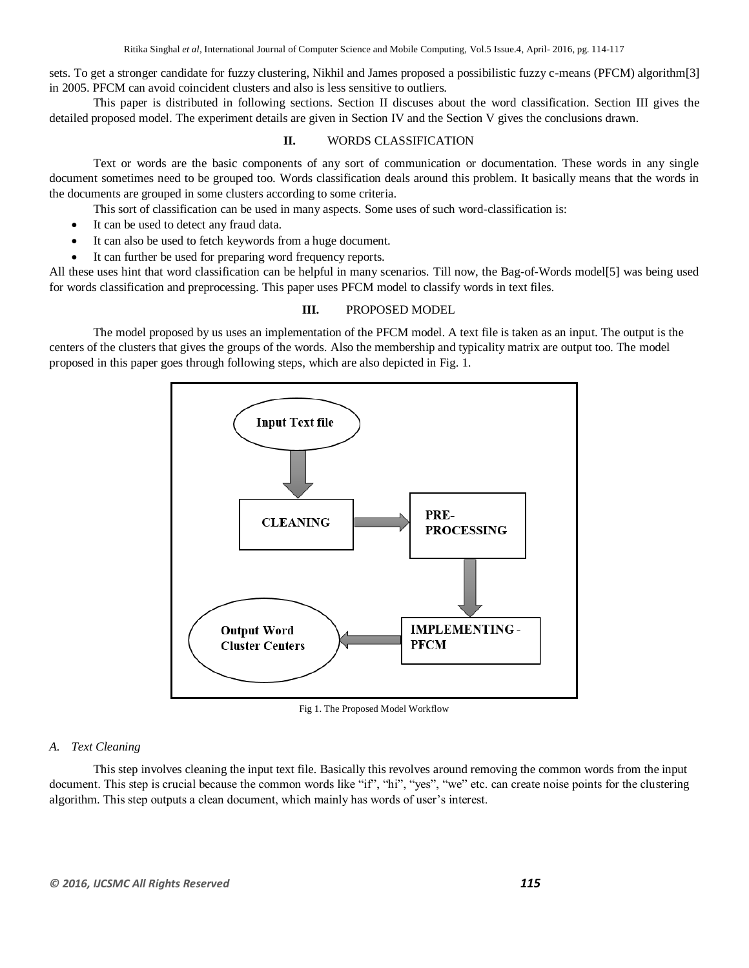sets. To get a stronger candidate for fuzzy clustering, Nikhil and James proposed a possibilistic fuzzy c-means (PFCM) algorithm[3] in 2005. PFCM can avoid coincident clusters and also is less sensitive to outliers.

This paper is distributed in following sections. Section II discuses about the word classification. Section III gives the detailed proposed model. The experiment details are given in Section IV and the Section V gives the conclusions drawn.

## **II.** WORDS CLASSIFICATION

Text or words are the basic components of any sort of communication or documentation. These words in any single document sometimes need to be grouped too. Words classification deals around this problem. It basically means that the words in the documents are grouped in some clusters according to some criteria.

This sort of classification can be used in many aspects. Some uses of such word-classification is:

- It can be used to detect any fraud data.
- It can also be used to fetch keywords from a huge document.
- It can further be used for preparing word frequency reports.

All these uses hint that word classification can be helpful in many scenarios. Till now, the Bag-of-Words model[5] was being used for words classification and preprocessing. This paper uses PFCM model to classify words in text files.

## **III.** PROPOSED MODEL

The model proposed by us uses an implementation of the PFCM model. A text file is taken as an input. The output is the centers of the clusters that gives the groups of the words. Also the membership and typicality matrix are output too. The model proposed in this paper goes through following steps, which are also depicted in Fig. 1.



Fig 1. The Proposed Model Workflow

## *A. Text Cleaning*

This step involves cleaning the input text file. Basically this revolves around removing the common words from the input document. This step is crucial because the common words like "if", "hi", "yes", "we" etc. can create noise points for the clustering algorithm. This step outputs a clean document, which mainly has words of user's interest.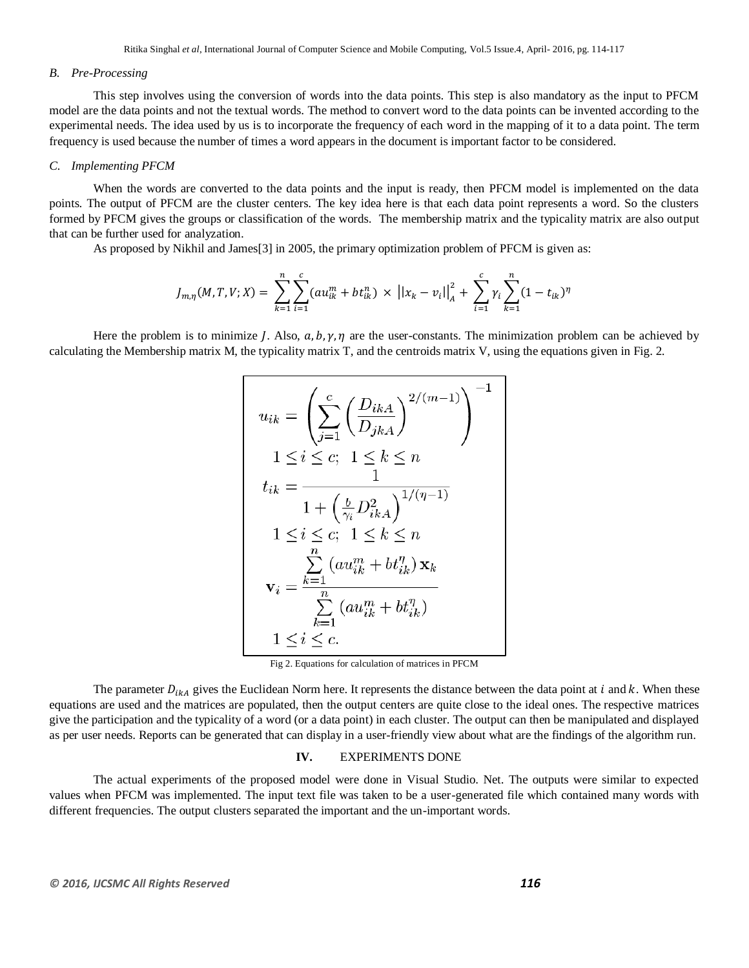#### *B. Pre-Processing*

This step involves using the conversion of words into the data points. This step is also mandatory as the input to PFCM model are the data points and not the textual words. The method to convert word to the data points can be invented according to the experimental needs. The idea used by us is to incorporate the frequency of each word in the mapping of it to a data point. The term frequency is used because the number of times a word appears in the document is important factor to be considered.

#### *C. Implementing PFCM*

When the words are converted to the data points and the input is ready, then PFCM model is implemented on the data points. The output of PFCM are the cluster centers. The key idea here is that each data point represents a word. So the clusters formed by PFCM gives the groups or classification of the words. The membership matrix and the typicality matrix are also output that can be further used for analyzation.

As proposed by Nikhil and James[3] in 2005, the primary optimization problem of PFCM is given as:

$$
J_{m,\eta}(M,T,V;X) = \sum_{k=1}^{n} \sum_{i=1}^{c} (au_{ik}^{m} + bt_{ik}^{n}) \times ||x_{k} - v_{i}||_{A}^{2} + \sum_{i=1}^{c} \gamma_{i} \sum_{k=1}^{n} (1 - t_{ik})^{\eta}
$$

Here the problem is to minimize *J*. Also,  $a, b, \gamma, \eta$  are the user-constants. The minimization problem can be achieved by calculating the Membership matrix M, the typicality matrix T, and the centroids matrix V, using the equations given in Fig. 2.

$$
u_{ik} = \left(\sum_{j=1}^{c} \left(\frac{D_{ikA}}{D_{jkA}}\right)^{2/(m-1)}\right)^{-1}
$$
  

$$
1 \leq i \leq c; \ 1 \leq k \leq n
$$
  

$$
t_{ik} = \frac{1}{1 + \left(\frac{b}{\gamma_i} D_{ikA}^2\right)^{1/(\eta - 1)}}
$$
  

$$
1 \leq i \leq c; \ 1 \leq k \leq n
$$
  

$$
\sum_{k=1}^{n} \left(au_{ik}^m + bt_{ik}^{\eta}\right) \mathbf{x}_k
$$
  

$$
\mathbf{v}_i = \frac{\sum_{k=1}^{n} \left(au_{ik}^m + bt_{ik}^{\eta}\right)}{\sum_{k=1}^{n} \left(au_{ik}^m + bt_{ik}^{\eta}\right)}
$$
  

$$
1 \leq i \leq c.
$$

Fig 2. Equations for calculation of matrices in PFCM

The parameter  $D_{ikA}$  gives the Euclidean Norm here. It represents the distance between the data point at i and k. When these equations are used and the matrices are populated, then the output centers are quite close to the ideal ones. The respective matrices give the participation and the typicality of a word (or a data point) in each cluster. The output can then be manipulated and displayed as per user needs. Reports can be generated that can display in a user-friendly view about what are the findings of the algorithm run.

#### **IV.** EXPERIMENTS DONE

The actual experiments of the proposed model were done in Visual Studio. Net. The outputs were similar to expected values when PFCM was implemented. The input text file was taken to be a user-generated file which contained many words with different frequencies. The output clusters separated the important and the un-important words.